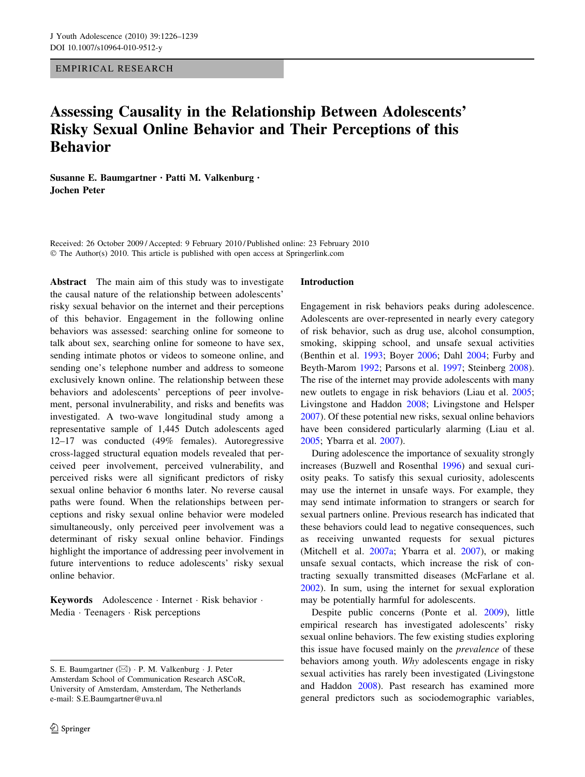EMPIRICAL RESEARCH

# Assessing Causality in the Relationship Between Adolescents' Risky Sexual Online Behavior and Their Perceptions of this Behavior

Susanne E. Baumgartner • Patti M. Valkenburg • Jochen Peter

Received: 26 October 2009 / Accepted: 9 February 2010 / Published online: 23 February 2010 © The Author(s) 2010. This article is published with open access at Springerlink.com

Abstract The main aim of this study was to investigate the causal nature of the relationship between adolescents' risky sexual behavior on the internet and their perceptions of this behavior. Engagement in the following online behaviors was assessed: searching online for someone to talk about sex, searching online for someone to have sex, sending intimate photos or videos to someone online, and sending one's telephone number and address to someone exclusively known online. The relationship between these behaviors and adolescents' perceptions of peer involvement, personal invulnerability, and risks and benefits was investigated. A two-wave longitudinal study among a representative sample of 1,445 Dutch adolescents aged 12–17 was conducted (49% females). Autoregressive cross-lagged structural equation models revealed that perceived peer involvement, perceived vulnerability, and perceived risks were all significant predictors of risky sexual online behavior 6 months later. No reverse causal paths were found. When the relationships between perceptions and risky sexual online behavior were modeled simultaneously, only perceived peer involvement was a determinant of risky sexual online behavior. Findings highlight the importance of addressing peer involvement in future interventions to reduce adolescents' risky sexual online behavior.

Keywords Adolescence - Internet - Risk behavior - Media - Teenagers - Risk perceptions

## Introduction

Engagement in risk behaviors peaks during adolescence. Adolescents are over-represented in nearly every category of risk behavior, such as drug use, alcohol consumption, smoking, skipping school, and unsafe sexual activities (Benthin et al. [1993](#page-11-0); Boyer [2006](#page-11-0); Dahl [2004](#page-11-0); Furby and Beyth-Marom [1992](#page-11-0); Parsons et al. [1997](#page-12-0); Steinberg [2008](#page-13-0)). The rise of the internet may provide adolescents with many new outlets to engage in risk behaviors (Liau et al. [2005](#page-12-0); Livingstone and Haddon [2008](#page-12-0); Livingstone and Helsper [2007](#page-12-0)). Of these potential new risks, sexual online behaviors have been considered particularly alarming (Liau et al. [2005](#page-12-0); Ybarra et al. [2007\)](#page-13-0).

During adolescence the importance of sexuality strongly increases (Buzwell and Rosenthal [1996\)](#page-11-0) and sexual curiosity peaks. To satisfy this sexual curiosity, adolescents may use the internet in unsafe ways. For example, they may send intimate information to strangers or search for sexual partners online. Previous research has indicated that these behaviors could lead to negative consequences, such as receiving unwanted requests for sexual pictures (Mitchell et al. [2007a;](#page-12-0) Ybarra et al. [2007](#page-13-0)), or making unsafe sexual contacts, which increase the risk of contracting sexually transmitted diseases (McFarlane et al. [2002](#page-12-0)). In sum, using the internet for sexual exploration may be potentially harmful for adolescents.

Despite public concerns (Ponte et al. [2009](#page-12-0)), little empirical research has investigated adolescents' risky sexual online behaviors. The few existing studies exploring this issue have focused mainly on the prevalence of these behaviors among youth. Why adolescents engage in risky sexual activities has rarely been investigated (Livingstone and Haddon [2008\)](#page-12-0). Past research has examined more general predictors such as sociodemographic variables,

S. E. Baumgartner (⊠) · P. M. Valkenburg · J. Peter Amsterdam School of Communication Research ASCoR, University of Amsterdam, Amsterdam, The Netherlands e-mail: S.E.Baumgartner@uva.nl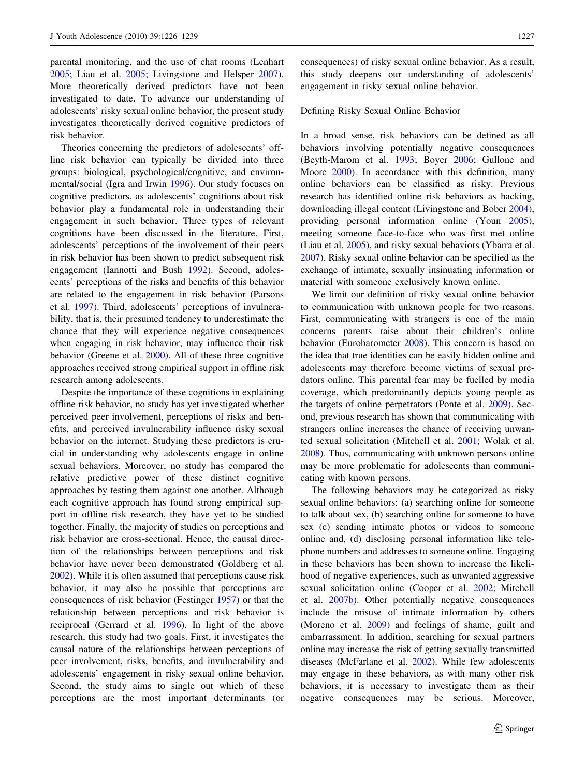parental monitoring, and the use of chat rooms (Lenhart [2005;](#page-12-0) Liau et al. [2005](#page-12-0); Livingstone and Helsper [2007](#page-12-0)). More theoretically derived predictors have not been investigated to date. To advance our understanding of adolescents' risky sexual online behavior, the present study investigates theoretically derived cognitive predictors of risk behavior.

Theories concerning the predictors of adolescents' offline risk behavior can typically be divided into three groups: biological, psychological/cognitive, and environmental/social (Igra and Irwin [1996](#page-12-0)). Our study focuses on cognitive predictors, as adolescents' cognitions about risk behavior play a fundamental role in understanding their engagement in such behavior. Three types of relevant cognitions have been discussed in the literature. First, adolescents' perceptions of the involvement of their peers in risk behavior has been shown to predict subsequent risk engagement (Iannotti and Bush [1992](#page-12-0)). Second, adolescents' perceptions of the risks and benefits of this behavior are related to the engagement in risk behavior (Parsons et al. [1997](#page-12-0)). Third, adolescents' perceptions of invulnerability, that is, their presumed tendency to underestimate the chance that they will experience negative consequences when engaging in risk behavior, may influence their risk behavior (Greene et al. [2000](#page-11-0)). All of these three cognitive approaches received strong empirical support in offline risk research among adolescents.

Despite the importance of these cognitions in explaining offline risk behavior, no study has yet investigated whether perceived peer involvement, perceptions of risks and benefits, and perceived invulnerability influence risky sexual behavior on the internet. Studying these predictors is crucial in understanding why adolescents engage in online sexual behaviors. Moreover, no study has compared the relative predictive power of these distinct cognitive approaches by testing them against one another. Although each cognitive approach has found strong empirical support in offline risk research, they have yet to be studied together. Finally, the majority of studies on perceptions and risk behavior are cross-sectional. Hence, the causal direction of the relationships between perceptions and risk behavior have never been demonstrated (Goldberg et al. [2002\)](#page-11-0). While it is often assumed that perceptions cause risk behavior, it may also be possible that perceptions are consequences of risk behavior (Festinger [1957\)](#page-11-0) or that the relationship between perceptions and risk behavior is reciprocal (Gerrard et al. [1996\)](#page-11-0). In light of the above research, this study had two goals. First, it investigates the causal nature of the relationships between perceptions of peer involvement, risks, benefits, and invulnerability and adolescents' engagement in risky sexual online behavior. Second, the study aims to single out which of these perceptions are the most important determinants (or consequences) of risky sexual online behavior. As a result, this study deepens our understanding of adolescents' engagement in risky sexual online behavior.

### Defining Risky Sexual Online Behavior

In a broad sense, risk behaviors can be defined as all behaviors involving potentially negative consequences (Beyth-Marom et al. [1993](#page-11-0); Boyer [2006](#page-11-0); Gullone and Moore [2000](#page-11-0)). In accordance with this definition, many online behaviors can be classified as risky. Previous research has identified online risk behaviors as hacking, downloading illegal content (Livingstone and Bober [2004](#page-12-0)), providing personal information online (Youn [2005](#page-13-0)), meeting someone face-to-face who was first met online (Liau et al. [2005\)](#page-12-0), and risky sexual behaviors (Ybarra et al. [2007](#page-13-0)). Risky sexual online behavior can be specified as the exchange of intimate, sexually insinuating information or material with someone exclusively known online.

We limit our definition of risky sexual online behavior to communication with unknown people for two reasons. First, communicating with strangers is one of the main concerns parents raise about their children's online behavior (Eurobarometer [2008\)](#page-11-0). This concern is based on the idea that true identities can be easily hidden online and adolescents may therefore become victims of sexual predators online. This parental fear may be fuelled by media coverage, which predominantly depicts young people as the targets of online perpetrators (Ponte et al. [2009](#page-12-0)). Second, previous research has shown that communicating with strangers online increases the chance of receiving unwanted sexual solicitation (Mitchell et al. [2001](#page-12-0); Wolak et al. [2008](#page-13-0)). Thus, communicating with unknown persons online may be more problematic for adolescents than communicating with known persons.

The following behaviors may be categorized as risky sexual online behaviors: (a) searching online for someone to talk about sex, (b) searching online for someone to have sex (c) sending intimate photos or videos to someone online and, (d) disclosing personal information like telephone numbers and addresses to someone online. Engaging in these behaviors has been shown to increase the likelihood of negative experiences, such as unwanted aggressive sexual solicitation online (Cooper et al. [2002](#page-11-0); Mitchell et al. [2007b](#page-12-0)). Other potentially negative consequences include the misuse of intimate information by others (Moreno et al. [2009\)](#page-12-0) and feelings of shame, guilt and embarrassment. In addition, searching for sexual partners online may increase the risk of getting sexually transmitted diseases (McFarlane et al. [2002\)](#page-12-0). While few adolescents may engage in these behaviors, as with many other risk behaviors, it is necessary to investigate them as their negative consequences may be serious. Moreover,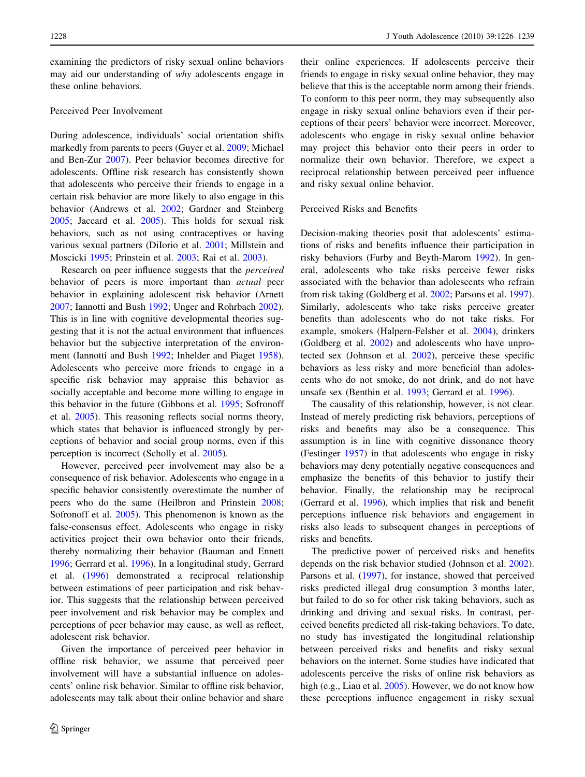examining the predictors of risky sexual online behaviors may aid our understanding of why adolescents engage in these online behaviors.

# Perceived Peer Involvement

During adolescence, individuals' social orientation shifts markedly from parents to peers (Guyer et al. [2009](#page-12-0); Michael and Ben-Zur [2007\)](#page-12-0). Peer behavior becomes directive for adolescents. Offline risk research has consistently shown that adolescents who perceive their friends to engage in a certain risk behavior are more likely to also engage in this behavior (Andrews et al. [2002](#page-11-0); Gardner and Steinberg [2005;](#page-11-0) Jaccard et al. [2005](#page-12-0)). This holds for sexual risk behaviors, such as not using contraceptives or having various sexual partners (DiIorio et al. [2001;](#page-11-0) Millstein and Moscicki [1995;](#page-12-0) Prinstein et al. [2003](#page-12-0); Rai et al. [2003](#page-12-0)).

Research on peer influence suggests that the perceived behavior of peers is more important than *actual* peer behavior in explaining adolescent risk behavior (Arnett [2007;](#page-11-0) Iannotti and Bush [1992](#page-12-0); Unger and Rohrbach [2002](#page-13-0)). This is in line with cognitive developmental theories suggesting that it is not the actual environment that influences behavior but the subjective interpretation of the environment (Iannotti and Bush [1992](#page-12-0); Inhelder and Piaget [1958](#page-12-0)). Adolescents who perceive more friends to engage in a specific risk behavior may appraise this behavior as socially acceptable and become more willing to engage in this behavior in the future (Gibbons et al. [1995](#page-11-0); Sofronoff et al. [2005](#page-13-0)). This reasoning reflects social norms theory, which states that behavior is influenced strongly by perceptions of behavior and social group norms, even if this perception is incorrect (Scholly et al. [2005](#page-12-0)).

However, perceived peer involvement may also be a consequence of risk behavior. Adolescents who engage in a specific behavior consistently overestimate the number of peers who do the same (Heilbron and Prinstein [2008](#page-12-0); Sofronoff et al. [2005\)](#page-13-0). This phenomenon is known as the false-consensus effect. Adolescents who engage in risky activities project their own behavior onto their friends, thereby normalizing their behavior (Bauman and Ennett [1996;](#page-11-0) Gerrard et al. [1996](#page-11-0)). In a longitudinal study, Gerrard et al. ([1996\)](#page-11-0) demonstrated a reciprocal relationship between estimations of peer participation and risk behavior. This suggests that the relationship between perceived peer involvement and risk behavior may be complex and perceptions of peer behavior may cause, as well as reflect, adolescent risk behavior.

Given the importance of perceived peer behavior in offline risk behavior, we assume that perceived peer involvement will have a substantial influence on adolescents' online risk behavior. Similar to offline risk behavior, adolescents may talk about their online behavior and share

their online experiences. If adolescents perceive their friends to engage in risky sexual online behavior, they may believe that this is the acceptable norm among their friends. To conform to this peer norm, they may subsequently also engage in risky sexual online behaviors even if their perceptions of their peers' behavior were incorrect. Moreover, adolescents who engage in risky sexual online behavior may project this behavior onto their peers in order to normalize their own behavior. Therefore, we expect a reciprocal relationship between perceived peer influence and risky sexual online behavior.

### Perceived Risks and Benefits

Decision-making theories posit that adolescents' estimations of risks and benefits influence their participation in risky behaviors (Furby and Beyth-Marom [1992\)](#page-11-0). In general, adolescents who take risks perceive fewer risks associated with the behavior than adolescents who refrain from risk taking (Goldberg et al. [2002](#page-11-0); Parsons et al. [1997](#page-12-0)). Similarly, adolescents who take risks perceive greater benefits than adolescents who do not take risks. For example, smokers (Halpern-Felsher et al. [2004\)](#page-12-0), drinkers (Goldberg et al. [2002\)](#page-11-0) and adolescents who have unprotected sex (Johnson et al. [2002](#page-12-0)), perceive these specific behaviors as less risky and more beneficial than adolescents who do not smoke, do not drink, and do not have unsafe sex (Benthin et al. [1993](#page-11-0); Gerrard et al. [1996](#page-11-0)).

The causality of this relationship, however, is not clear. Instead of merely predicting risk behaviors, perceptions of risks and benefits may also be a consequence. This assumption is in line with cognitive dissonance theory (Festinger [1957\)](#page-11-0) in that adolescents who engage in risky behaviors may deny potentially negative consequences and emphasize the benefits of this behavior to justify their behavior. Finally, the relationship may be reciprocal (Gerrard et al. [1996](#page-11-0)), which implies that risk and benefit perceptions influence risk behaviors and engagement in risks also leads to subsequent changes in perceptions of risks and benefits.

The predictive power of perceived risks and benefits depends on the risk behavior studied (Johnson et al. [2002](#page-12-0)). Parsons et al. ([1997\)](#page-12-0), for instance, showed that perceived risks predicted illegal drug consumption 3 months later, but failed to do so for other risk taking behaviors, such as drinking and driving and sexual risks. In contrast, perceived benefits predicted all risk-taking behaviors. To date, no study has investigated the longitudinal relationship between perceived risks and benefits and risky sexual behaviors on the internet. Some studies have indicated that adolescents perceive the risks of online risk behaviors as high (e.g., Liau et al. [2005](#page-12-0)). However, we do not know how these perceptions influence engagement in risky sexual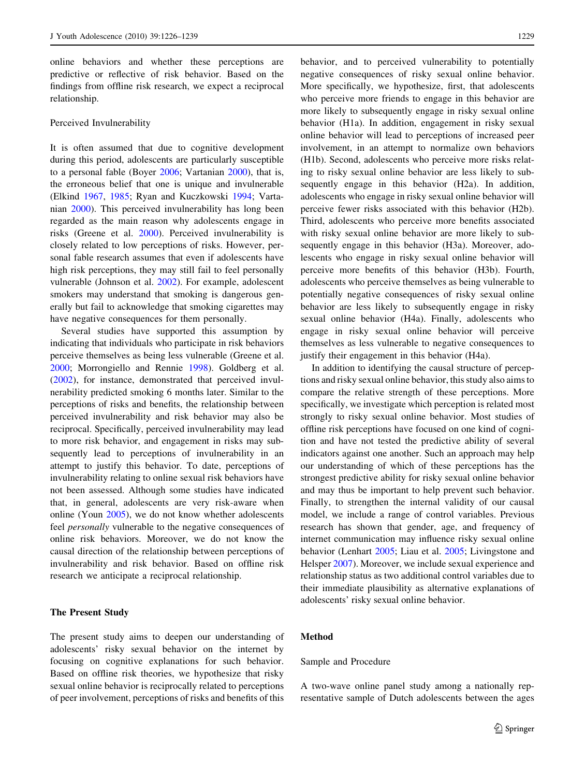online behaviors and whether these perceptions are predictive or reflective of risk behavior. Based on the findings from offline risk research, we expect a reciprocal relationship.

### Perceived Invulnerability

It is often assumed that due to cognitive development during this period, adolescents are particularly susceptible to a personal fable (Boyer [2006;](#page-11-0) Vartanian [2000](#page-13-0)), that is, the erroneous belief that one is unique and invulnerable (Elkind [1967](#page-11-0), [1985;](#page-11-0) Ryan and Kuczkowski [1994;](#page-12-0) Vartanian [2000](#page-13-0)). This perceived invulnerability has long been regarded as the main reason why adolescents engage in risks (Greene et al. [2000](#page-11-0)). Perceived invulnerability is closely related to low perceptions of risks. However, personal fable research assumes that even if adolescents have high risk perceptions, they may still fail to feel personally vulnerable (Johnson et al. [2002](#page-12-0)). For example, adolescent smokers may understand that smoking is dangerous generally but fail to acknowledge that smoking cigarettes may have negative consequences for them personally.

Several studies have supported this assumption by indicating that individuals who participate in risk behaviors perceive themselves as being less vulnerable (Greene et al. [2000;](#page-11-0) Morrongiello and Rennie [1998\)](#page-12-0). Goldberg et al. [\(2002](#page-11-0)), for instance, demonstrated that perceived invulnerability predicted smoking 6 months later. Similar to the perceptions of risks and benefits, the relationship between perceived invulnerability and risk behavior may also be reciprocal. Specifically, perceived invulnerability may lead to more risk behavior, and engagement in risks may subsequently lead to perceptions of invulnerability in an attempt to justify this behavior. To date, perceptions of invulnerability relating to online sexual risk behaviors have not been assessed. Although some studies have indicated that, in general, adolescents are very risk-aware when online (Youn [2005](#page-13-0)), we do not know whether adolescents feel personally vulnerable to the negative consequences of online risk behaviors. Moreover, we do not know the causal direction of the relationship between perceptions of invulnerability and risk behavior. Based on offline risk research we anticipate a reciprocal relationship.

### The Present Study

The present study aims to deepen our understanding of adolescents' risky sexual behavior on the internet by focusing on cognitive explanations for such behavior. Based on offline risk theories, we hypothesize that risky sexual online behavior is reciprocally related to perceptions of peer involvement, perceptions of risks and benefits of this behavior, and to perceived vulnerability to potentially negative consequences of risky sexual online behavior. More specifically, we hypothesize, first, that adolescents who perceive more friends to engage in this behavior are more likely to subsequently engage in risky sexual online behavior (H1a). In addition, engagement in risky sexual online behavior will lead to perceptions of increased peer involvement, in an attempt to normalize own behaviors (H1b). Second, adolescents who perceive more risks relating to risky sexual online behavior are less likely to subsequently engage in this behavior (H2a). In addition, adolescents who engage in risky sexual online behavior will perceive fewer risks associated with this behavior (H2b). Third, adolescents who perceive more benefits associated with risky sexual online behavior are more likely to subsequently engage in this behavior (H3a). Moreover, adolescents who engage in risky sexual online behavior will perceive more benefits of this behavior (H3b). Fourth, adolescents who perceive themselves as being vulnerable to potentially negative consequences of risky sexual online behavior are less likely to subsequently engage in risky sexual online behavior (H4a). Finally, adolescents who engage in risky sexual online behavior will perceive themselves as less vulnerable to negative consequences to justify their engagement in this behavior (H4a).

In addition to identifying the causal structure of perceptions and risky sexual online behavior, this study also aims to compare the relative strength of these perceptions. More specifically, we investigate which perception is related most strongly to risky sexual online behavior. Most studies of offline risk perceptions have focused on one kind of cognition and have not tested the predictive ability of several indicators against one another. Such an approach may help our understanding of which of these perceptions has the strongest predictive ability for risky sexual online behavior and may thus be important to help prevent such behavior. Finally, to strengthen the internal validity of our causal model, we include a range of control variables. Previous research has shown that gender, age, and frequency of internet communication may influence risky sexual online behavior (Lenhart [2005](#page-12-0); Liau et al. [2005;](#page-12-0) Livingstone and Helsper [2007](#page-12-0)). Moreover, we include sexual experience and relationship status as two additional control variables due to their immediate plausibility as alternative explanations of adolescents' risky sexual online behavior.

### Method

Sample and Procedure

A two-wave online panel study among a nationally representative sample of Dutch adolescents between the ages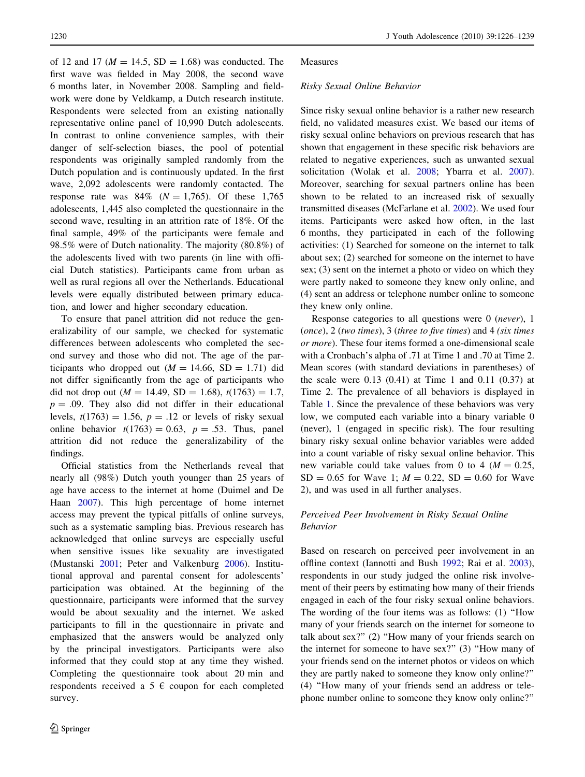of 12 and 17 ( $M = 14.5$ , SD = 1.68) was conducted. The first wave was fielded in May 2008, the second wave 6 months later, in November 2008. Sampling and fieldwork were done by Veldkamp, a Dutch research institute. Respondents were selected from an existing nationally representative online panel of 10,990 Dutch adolescents. In contrast to online convenience samples, with their danger of self-selection biases, the pool of potential respondents was originally sampled randomly from the Dutch population and is continuously updated. In the first wave, 2,092 adolescents were randomly contacted. The response rate was  $84\%$  ( $N = 1,765$ ). Of these 1,765 adolescents, 1,445 also completed the questionnaire in the second wave, resulting in an attrition rate of 18%. Of the final sample, 49% of the participants were female and 98.5% were of Dutch nationality. The majority (80.8%) of the adolescents lived with two parents (in line with official Dutch statistics). Participants came from urban as well as rural regions all over the Netherlands. Educational levels were equally distributed between primary education, and lower and higher secondary education.

To ensure that panel attrition did not reduce the generalizability of our sample, we checked for systematic differences between adolescents who completed the second survey and those who did not. The age of the participants who dropped out  $(M = 14.66, SD = 1.71)$  did not differ significantly from the age of participants who did not drop out ( $M = 14.49$ , SD = 1.68),  $t(1763) = 1.7$ ,  $p = .09$ . They also did not differ in their educational levels,  $t(1763) = 1.56$ ,  $p = .12$  or levels of risky sexual online behavior  $t(1763) = 0.63$ ,  $p = .53$ . Thus, panel attrition did not reduce the generalizability of the findings.

Official statistics from the Netherlands reveal that nearly all (98%) Dutch youth younger than 25 years of age have access to the internet at home (Duimel and De Haan [2007](#page-11-0)). This high percentage of home internet access may prevent the typical pitfalls of online surveys, such as a systematic sampling bias. Previous research has acknowledged that online surveys are especially useful when sensitive issues like sexuality are investigated (Mustanski [2001](#page-12-0); Peter and Valkenburg [2006\)](#page-12-0). Institutional approval and parental consent for adolescents' participation was obtained. At the beginning of the questionnaire, participants were informed that the survey would be about sexuality and the internet. We asked participants to fill in the questionnaire in private and emphasized that the answers would be analyzed only by the principal investigators. Participants were also informed that they could stop at any time they wished. Completing the questionnaire took about 20 min and respondents received a 5  $\epsilon$  coupon for each completed survey.

#### Measures

### Risky Sexual Online Behavior

Since risky sexual online behavior is a rather new research field, no validated measures exist. We based our items of risky sexual online behaviors on previous research that has shown that engagement in these specific risk behaviors are related to negative experiences, such as unwanted sexual solicitation (Wolak et al. [2008](#page-13-0); Ybarra et al. [2007](#page-13-0)). Moreover, searching for sexual partners online has been shown to be related to an increased risk of sexually transmitted diseases (McFarlane et al. [2002](#page-12-0)). We used four items. Participants were asked how often, in the last 6 months, they participated in each of the following activities: (1) Searched for someone on the internet to talk about sex; (2) searched for someone on the internet to have sex; (3) sent on the internet a photo or video on which they were partly naked to someone they knew only online, and (4) sent an address or telephone number online to someone they knew only online.

Response categories to all questions were 0 (never), 1 (once), 2 (two times), 3 (three to five times) and 4 (six times or more). These four items formed a one-dimensional scale with a Cronbach's alpha of .71 at Time 1 and .70 at Time 2. Mean scores (with standard deviations in parentheses) of the scale were 0.13 (0.41) at Time 1 and 0.11 (0.37) at Time 2. The prevalence of all behaviors is displayed in Table [1](#page-5-0). Since the prevalence of these behaviors was very low, we computed each variable into a binary variable 0 (never), 1 (engaged in specific risk). The four resulting binary risky sexual online behavior variables were added into a count variable of risky sexual online behavior. This new variable could take values from 0 to 4 ( $M = 0.25$ ,  $SD = 0.65$  for Wave 1;  $M = 0.22$ ,  $SD = 0.60$  for Wave 2), and was used in all further analyses.

# Perceived Peer Involvement in Risky Sexual Online Behavior

Based on research on perceived peer involvement in an offline context (Iannotti and Bush [1992;](#page-12-0) Rai et al. [2003](#page-12-0)), respondents in our study judged the online risk involvement of their peers by estimating how many of their friends engaged in each of the four risky sexual online behaviors. The wording of the four items was as follows: (1) ''How many of your friends search on the internet for someone to talk about sex?'' (2) ''How many of your friends search on the internet for someone to have sex?'' (3) ''How many of your friends send on the internet photos or videos on which they are partly naked to someone they know only online?'' (4) ''How many of your friends send an address or telephone number online to someone they know only online?''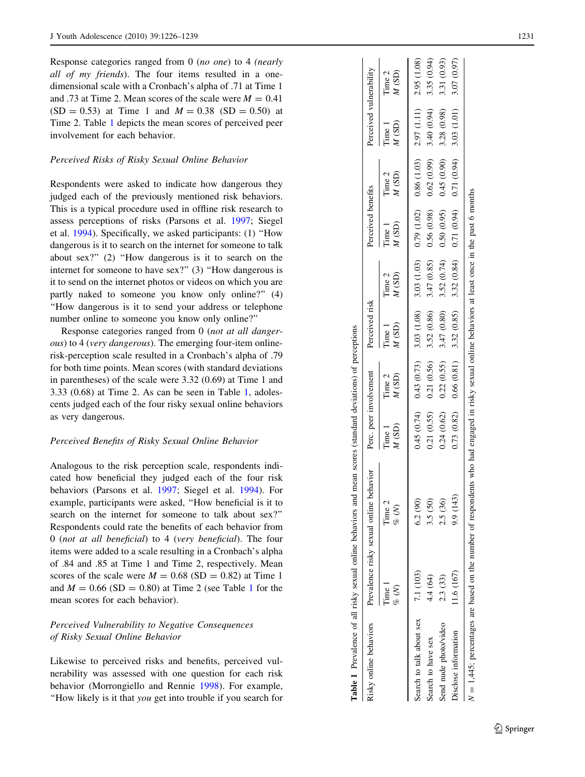<span id="page-5-0"></span>Response categories ranged from 0 (no one) to 4 (nearly all of my friends). The four items resulted in a onedimensional scale with a Cronbach's alpha of .71 at Time 1 and .73 at Time 2. Mean scores of the scale were  $M = 0.41$  $(SD = 0.53)$  at Time 1 and  $M = 0.38$   $(SD = 0.50)$  at Time 2. Table 1 depicts the mean scores of perceived peer involvement for each behavior.

## Perceived Risks of Risky Sexual Online Behavior

Respondents were asked to indicate how dangerous they judged each of the previously mentioned risk behaviors. This is a typical procedure used in offline risk research to assess perceptions of risks (Parsons et al. [1997](#page-12-0); Siegel et al. [1994\)](#page-12-0). Specifically, we asked participants: (1) ''How dangerous is it to search on the internet for someone to talk about sex?'' (2) ''How dangerous is it to search on the internet for someone to have sex?" (3) "How dangerous is it to send on the internet photos or videos on which you are partly naked to someone you know only online?" (4) ''How dangerous is it to send your address or telephone number online to someone you know only online?''

Response categories ranged from 0 (not at all dangerous) to 4 (very dangerous). The emerging four-item onlinerisk-perception scale resulted in a Cronbach's alpha of .79 for both time points. Mean scores (with standard deviations in parentheses) of the scale were 3.32 (0.69) at Time 1 and 3.33 (0.68) at Time 2. As can be seen in Table 1, adolescents judged each of the four risky sexual online behaviors as very dangerous.

# Perceived Benefits of Risky Sexual Online Behavior

Analogous to the risk perception scale, respondents indicated how beneficial they judged each of the four risk behaviors (Parsons et al. [1997](#page-12-0); Siegel et al. [1994\)](#page-12-0). For example, participants were asked, ''How beneficial is it to search on the internet for someone to talk about sex?'' Respondents could rate the benefits of each behavior from 0 (not at all beneficial) to 4 (very beneficial). The four items were added to a scale resulting in a Cronbach's alpha of .84 and .85 at Time 1 and Time 2, respectively. Mean scores of the scale were  $M = 0.68$  (SD = 0.82) at Time 1 and  $M = 0.66$  (SD = 0.80) at Time 2 (see Table 1 for the mean scores for each behavior).

# Perceived Vulnerability to Negative Consequences of Risky Sexual Online Behavior

Likewise to perceived risks and benefits, perceived vulnerability was assessed with one question for each risk behavior (Morrongiello and Rennie [1998](#page-12-0)). For example, "How likely is it that you get into trouble if you search for

| <b>Table 1</b> Prevalence of all risky sexual online behaviors and mean scores (standard deviations) of perceptions                                  |                                         |                 |                            |                                    |                            |                 |                            |                                         |                         |                 |
|------------------------------------------------------------------------------------------------------------------------------------------------------|-----------------------------------------|-----------------|----------------------------|------------------------------------|----------------------------|-----------------|----------------------------|-----------------------------------------|-------------------------|-----------------|
| Risky online behaviors                                                                                                                               | Prevalence risky sexual online behavior |                 | Perc. peer involvement     |                                    | Perceived risk             |                 | Perceived benefits         |                                         | Perceived vulnerability |                 |
|                                                                                                                                                      | ر<br>Eme<br>% (N)                       | Time 2<br>% (N) | M(SD)<br>Time <sub>1</sub> | Time 2<br>M(SD)                    | M(SD)<br>Time <sub>1</sub> | M(SD)<br>Time 2 | M(SD)<br>Time <sub>1</sub> | M(SD)<br>Time 2                         | M(SD)<br>Time 1         | Time 2<br>M(SD) |
| Search to talk about sex                                                                                                                             | 7.1 (103)                               | 6.2(90)         |                            | (0.45(0.74) 0.43(0.73) 3.03(1.08)) |                            |                 |                            | 3.03 (1.03) $0.79$ (1.02) $0.86$ (1.03) | 2.97 (1.11)             | 2.95 (1.08)     |
| Search to have sex                                                                                                                                   | 4.4 (64)                                | 3.5(50)         | 0.21(0.55)                 | 0.21(0.56)                         | 3.52 (0.86)                | 3.47 (0.85)     | 0.56(0.98)                 | 0.62(0.99)                              | 3.40(0.94)              | 3.35 (0.94)     |
| Send nude photo/video                                                                                                                                | 2.3 (33)                                | 2.5(36)         | 0.24(0.62)                 | 0.22(0.55)                         | 3.47 (0.80)                | 3.52(0.74)      | 0.50(0.95)                 | 0.45(0.90)                              | 3.28 (0.98)             | 3.31 (0.93)     |
| Disclose information                                                                                                                                 | .1.6(167)                               | 9.9(143)        | 0.73(0.82)                 |                                    | $0.66(0.81)$ 3.32 (0.85)   | 3.32(0.84)      | 0.71(0.94)                 | 0.71(0.94)                              | 3.03 (1.01)             | 3.07 (0.97)     |
| $N = 1.445$ ; percentages are based on the number of respondents who had engaged in risky sexual online behaviors at least once in the past 6 months |                                         |                 |                            |                                    |                            |                 |                            |                                         |                         |                 |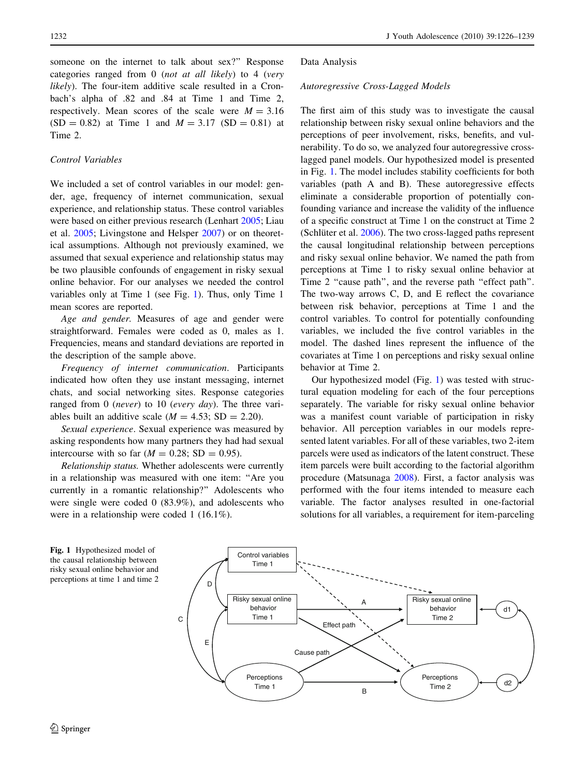<span id="page-6-0"></span>someone on the internet to talk about sex?'' Response categories ranged from 0 (not at all likely) to 4 (very likely). The four-item additive scale resulted in a Cronbach's alpha of .82 and .84 at Time 1 and Time 2, respectively. Mean scores of the scale were  $M = 3.16$  $(SD = 0.82)$  at Time 1 and  $M = 3.17$   $(SD = 0.81)$  at Time 2.

## Control Variables

We included a set of control variables in our model: gender, age, frequency of internet communication, sexual experience, and relationship status. These control variables were based on either previous research (Lenhart [2005](#page-12-0); Liau et al. [2005](#page-12-0); Livingstone and Helsper [2007\)](#page-12-0) or on theoretical assumptions. Although not previously examined, we assumed that sexual experience and relationship status may be two plausible confounds of engagement in risky sexual online behavior. For our analyses we needed the control variables only at Time 1 (see Fig. 1). Thus, only Time 1 mean scores are reported.

Age and gender. Measures of age and gender were straightforward. Females were coded as 0, males as 1. Frequencies, means and standard deviations are reported in the description of the sample above.

Frequency of internet communication. Participants indicated how often they use instant messaging, internet chats, and social networking sites. Response categories ranged from 0 (never) to 10 (every day). The three variables built an additive scale ( $M = 4.53$ ; SD = 2.20).

Sexual experience. Sexual experience was measured by asking respondents how many partners they had had sexual intercourse with so far  $(M = 0.28; SD = 0.95)$ .

Relationship status. Whether adolescents were currently in a relationship was measured with one item: ''Are you currently in a romantic relationship?'' Adolescents who were single were coded 0 (83.9%), and adolescents who were in a relationship were coded 1 (16.1%).

#### Data Analysis

### Autoregressive Cross-Lagged Models

The first aim of this study was to investigate the causal relationship between risky sexual online behaviors and the perceptions of peer involvement, risks, benefits, and vulnerability. To do so, we analyzed four autoregressive crosslagged panel models. Our hypothesized model is presented in Fig. 1. The model includes stability coefficients for both variables (path A and B). These autoregressive effects eliminate a considerable proportion of potentially confounding variance and increase the validity of the influence of a specific construct at Time 1 on the construct at Time 2 (Schlüter et al.  $2006$ ). The two cross-lagged paths represent the causal longitudinal relationship between perceptions and risky sexual online behavior. We named the path from perceptions at Time 1 to risky sexual online behavior at Time 2 "cause path", and the reverse path "effect path". The two-way arrows C, D, and E reflect the covariance between risk behavior, perceptions at Time 1 and the control variables. To control for potentially confounding variables, we included the five control variables in the model. The dashed lines represent the influence of the covariates at Time 1 on perceptions and risky sexual online behavior at Time 2.

Our hypothesized model (Fig. 1) was tested with structural equation modeling for each of the four perceptions separately. The variable for risky sexual online behavior was a manifest count variable of participation in risky behavior. All perception variables in our models represented latent variables. For all of these variables, two 2-item parcels were used as indicators of the latent construct. These item parcels were built according to the factorial algorithm procedure (Matsunaga [2008\)](#page-12-0). First, a factor analysis was performed with the four items intended to measure each variable. The factor analyses resulted in one-factorial solutions for all variables, a requirement for item-parceling

Fig. 1 Hypothesized model of the causal relationship between risky sexual online behavior and perceptions at time 1 and time 2

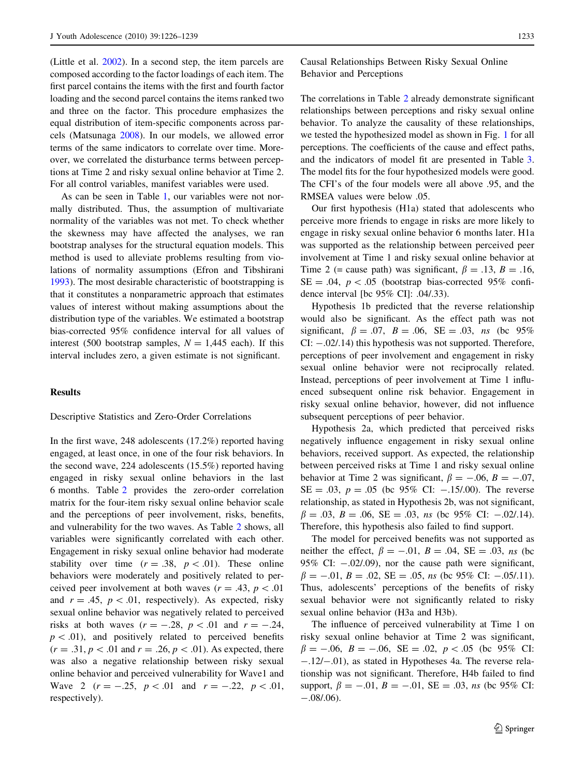(Little et al. [2002](#page-12-0)). In a second step, the item parcels are composed according to the factor loadings of each item. The first parcel contains the items with the first and fourth factor loading and the second parcel contains the items ranked two and three on the factor. This procedure emphasizes the equal distribution of item-specific components across parcels (Matsunaga [2008](#page-12-0)). In our models, we allowed error terms of the same indicators to correlate over time. Moreover, we correlated the disturbance terms between perceptions at Time 2 and risky sexual online behavior at Time 2. For all control variables, manifest variables were used.

As can be seen in Table [1,](#page-5-0) our variables were not normally distributed. Thus, the assumption of multivariate normality of the variables was not met. To check whether the skewness may have affected the analyses, we ran bootstrap analyses for the structural equation models. This method is used to alleviate problems resulting from violations of normality assumptions (Efron and Tibshirani [1993\)](#page-11-0). The most desirable characteristic of bootstrapping is that it constitutes a nonparametric approach that estimates values of interest without making assumptions about the distribution type of the variables. We estimated a bootstrap bias-corrected 95% confidence interval for all values of interest (500 bootstrap samples,  $N = 1,445$  each). If this interval includes zero, a given estimate is not significant.

## Results

## Descriptive Statistics and Zero-Order Correlations

In the first wave, 248 adolescents (17.2%) reported having engaged, at least once, in one of the four risk behaviors. In the second wave, 224 adolescents (15.5%) reported having engaged in risky sexual online behaviors in the last 6 months. Table [2](#page-8-0) provides the zero-order correlation matrix for the four-item risky sexual online behavior scale and the perceptions of peer involvement, risks, benefits, and vulnerability for the two waves. As Table [2](#page-8-0) shows, all variables were significantly correlated with each other. Engagement in risky sexual online behavior had moderate stability over time  $(r = .38, p < .01)$ . These online behaviors were moderately and positively related to perceived peer involvement at both waves ( $r = .43$ ,  $p < .01$ ) and  $r = .45$ ,  $p < .01$ , respectively). As expected, risky sexual online behavior was negatively related to perceived risks at both waves  $(r = -.28, p < .01$  and  $r = -.24,$  $p$  < .01), and positively related to perceived benefits  $(r = .31, p < .01$  and  $r = .26, p < .01$ ). As expected, there was also a negative relationship between risky sexual online behavior and perceived vulnerability for Wave1 and Wave 2  $(r = -.25, p < .01$  and  $r = -.22, p < .01,$ respectively).

Causal Relationships Between Risky Sexual Online Behavior and Perceptions

The correlations in Table [2](#page-8-0) already demonstrate significant relationships between perceptions and risky sexual online behavior. To analyze the causality of these relationships, we tested the hypothesized model as shown in Fig. [1](#page-6-0) for all perceptions. The coefficients of the cause and effect paths, and the indicators of model fit are presented in Table [3.](#page-8-0) The model fits for the four hypothesized models were good. The CFI's of the four models were all above .95, and the RMSEA values were below .05.

Our first hypothesis (H1a) stated that adolescents who perceive more friends to engage in risks are more likely to engage in risky sexual online behavior 6 months later. H1a was supported as the relationship between perceived peer involvement at Time 1 and risky sexual online behavior at Time 2 (= cause path) was significant,  $\beta = .13$ ,  $B = .16$ ,  $SE = .04$ ,  $p < .05$  (bootstrap bias-corrected 95% confidence interval [bc 95% CI]: .04/.33).

Hypothesis 1b predicted that the reverse relationship would also be significant. As the effect path was not significant,  $\beta = .07$ ,  $B = .06$ ,  $SE = .03$ , *ns* (bc 95%)  $CI: -0.02/0.14$  this hypothesis was not supported. Therefore, perceptions of peer involvement and engagement in risky sexual online behavior were not reciprocally related. Instead, perceptions of peer involvement at Time 1 influenced subsequent online risk behavior. Engagement in risky sexual online behavior, however, did not influence subsequent perceptions of peer behavior.

Hypothesis 2a, which predicted that perceived risks negatively influence engagement in risky sexual online behaviors, received support. As expected, the relationship between perceived risks at Time 1 and risky sexual online behavior at Time 2 was significant,  $\beta = -.06, B = -.07,$  $SE = .03$ ,  $p = .05$  (bc 95% CI:  $-.15/.00$ ). The reverse relationship, as stated in Hypothesis 2b, was not significant,  $\beta = .03, B = .06, SE = .03, ns$  (bc 95% CI: -.02/.14). Therefore, this hypothesis also failed to find support.

The model for perceived benefits was not supported as neither the effect,  $\beta = -.01$ ,  $B = .04$ ,  $SE = .03$ , ns (bc) 95% CI:  $-.02/.09$ , nor the cause path were significant,  $\beta = -.01, B = .02, SE = .05, ns$  (bc 95% CI: -.05/.11). Thus, adolescents' perceptions of the benefits of risky sexual behavior were not significantly related to risky sexual online behavior (H3a and H3b).

The influence of perceived vulnerability at Time 1 on risky sexual online behavior at Time 2 was significant,  $\beta = -.06, B = -.06, SE = .02, p < .05$  (bc 95% CI: -.12/-.01), as stated in Hypotheses 4a. The reverse relationship was not significant. Therefore, H4b failed to find support,  $\beta = -.01$ ,  $B = -.01$ ,  $SE = .03$ , *ns* (bc 95% CI:  $-.08/0.06$ ).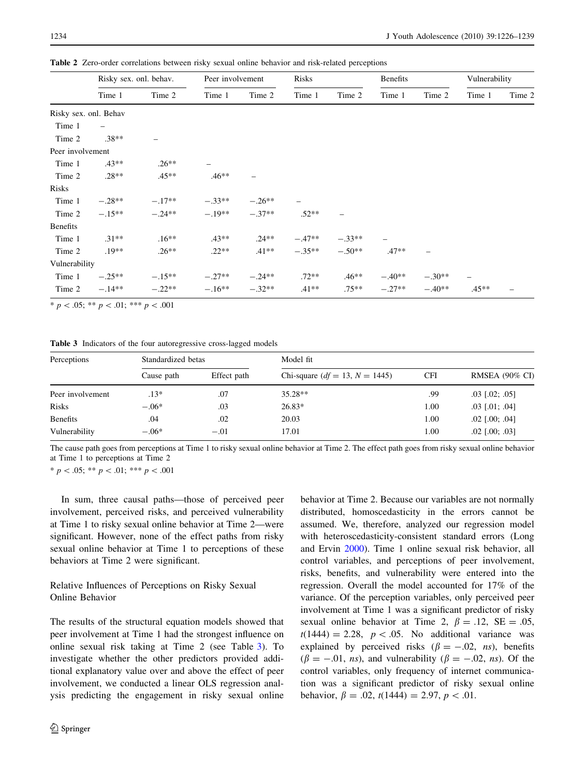<span id="page-8-0"></span>Table 2 Zero-order correlations between risky sexual online behavior and risk-related perceptions

|                  |                       | Risky sex. onl. behav. | Peer involvement |          | Risks    |                          | <b>Benefits</b> |                   | Vulnerability |        |
|------------------|-----------------------|------------------------|------------------|----------|----------|--------------------------|-----------------|-------------------|---------------|--------|
|                  | Time 1                | Time 2                 | Time 1           | Time 2   | Time 1   | Time 2                   | Time 1          | Time 2            | Time 1        | Time 2 |
|                  | Risky sex. onl. Behav |                        |                  |          |          |                          |                 |                   |               |        |
| Time 1           |                       |                        |                  |          |          |                          |                 |                   |               |        |
| Time 2           | $.38**$               |                        |                  |          |          |                          |                 |                   |               |        |
| Peer involvement |                       |                        |                  |          |          |                          |                 |                   |               |        |
| Time 1           | $.43**$               | $.26**$                |                  |          |          |                          |                 |                   |               |        |
| Time 2           | $.28**$               | $.45**$                | $.46**$          | -        |          |                          |                 |                   |               |        |
| Risks            |                       |                        |                  |          |          |                          |                 |                   |               |        |
| Time 1           | $-.28**$              | $-.17**$               | $-.33**$         | $-.26**$ |          |                          |                 |                   |               |        |
| Time 2           | $-.15**$              | $-.24**$               | $-.19**$         | $-.37**$ | $.52**$  | $\overline{\phantom{0}}$ |                 |                   |               |        |
| <b>Benefits</b>  |                       |                        |                  |          |          |                          |                 |                   |               |        |
| Time 1           | $.31**$               | $.16**$                | $.43**$          | $.24**$  | $-.47**$ | $-.33**$                 |                 |                   |               |        |
| Time 2           | $.19**$               | $.26**$                | $.22**$          | $.41**$  | $-.35**$ | $-.50**$                 | $.47**$         | $\qquad \qquad -$ |               |        |
| Vulnerability    |                       |                        |                  |          |          |                          |                 |                   |               |        |
| Time 1           | $-.25**$              | $-.15**$               | $-.27**$         | $-.24**$ | $.72**$  | $.46**$                  | $-.40**$        | $-.30**$          |               |        |
| Time 2           | $-.14**$              | $-.22**$               | $-.16**$         | $-.32**$ | $.41**$  | $.75**$                  | $-.27**$        | $-.40**$          | $.45**$       |        |

\* p < .05; \*\* p < .01; \*\*\* p < .001

Table 3 Indicators of the four autoregressive cross-lagged models

| Perceptions      | Standardized betas |             | Model fit                                     |            |                       |  |  |  |
|------------------|--------------------|-------------|-----------------------------------------------|------------|-----------------------|--|--|--|
|                  | Cause path         | Effect path | Chi-square ( <i>df</i> = 13, <i>N</i> = 1445) | <b>CFI</b> | <b>RMSEA (90% CI)</b> |  |  |  |
| Peer involvement | $.13*$             | .07         | $35.28**$                                     | .99        | $.03$ [.02; .05]      |  |  |  |
| Risks            | $-.06*$            | .03         | $26.83*$                                      | 1.00       | $.03$ [.01; .04]      |  |  |  |
| <b>Benefits</b>  | .04                | .02         | 20.03                                         | 1.00       | $.02$ [ $.00; .04$ ]  |  |  |  |
| Vulnerability    | $-.06*$            | $-.01$      | 17.01                                         | 1.00       | $.02$ [ $.00; .03$ ]  |  |  |  |

The cause path goes from perceptions at Time 1 to risky sexual online behavior at Time 2. The effect path goes from risky sexual online behavior at Time 1 to perceptions at Time 2

 $* p < .05; ** p < .01; ** * p < .001$ 

In sum, three causal paths—those of perceived peer involvement, perceived risks, and perceived vulnerability at Time 1 to risky sexual online behavior at Time 2—were significant. However, none of the effect paths from risky sexual online behavior at Time 1 to perceptions of these behaviors at Time 2 were significant.

# Relative Influences of Perceptions on Risky Sexual Online Behavior

The results of the structural equation models showed that peer involvement at Time 1 had the strongest influence on online sexual risk taking at Time 2 (see Table 3). To investigate whether the other predictors provided additional explanatory value over and above the effect of peer involvement, we conducted a linear OLS regression analysis predicting the engagement in risky sexual online behavior at Time 2. Because our variables are not normally distributed, homoscedasticity in the errors cannot be assumed. We, therefore, analyzed our regression model with heteroscedasticity-consistent standard errors (Long and Ervin [2000\)](#page-12-0). Time 1 online sexual risk behavior, all control variables, and perceptions of peer involvement, risks, benefits, and vulnerability were entered into the regression. Overall the model accounted for 17% of the variance. Of the perception variables, only perceived peer involvement at Time 1 was a significant predictor of risky sexual online behavior at Time 2,  $\beta = .12$ , SE = .05,  $t(1444) = 2.28$ ,  $p < .05$ . No additional variance was explained by perceived risks  $(\beta = -.02, ns)$ , benefits  $(\beta = -.01, ns)$ , and vulnerability  $(\beta = -.02, ns)$ . Of the control variables, only frequency of internet communication was a significant predictor of risky sexual online behavior,  $\beta = .02$ ,  $t(1444) = 2.97$ ,  $p < .01$ .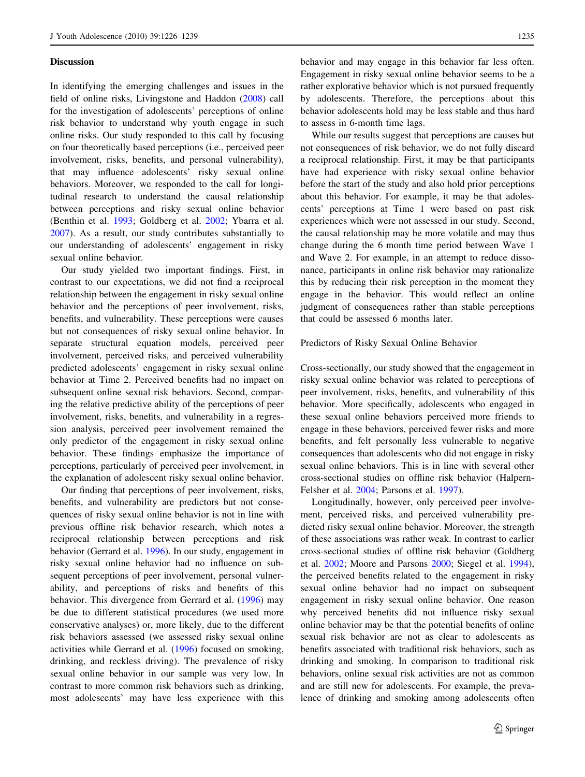#### **Discussion**

In identifying the emerging challenges and issues in the field of online risks, Livingstone and Haddon [\(2008](#page-12-0)) call for the investigation of adolescents' perceptions of online risk behavior to understand why youth engage in such online risks. Our study responded to this call by focusing on four theoretically based perceptions (i.e., perceived peer involvement, risks, benefits, and personal vulnerability), that may influence adolescents' risky sexual online behaviors. Moreover, we responded to the call for longitudinal research to understand the causal relationship between perceptions and risky sexual online behavior (Benthin et al. [1993](#page-11-0); Goldberg et al. [2002](#page-11-0); Ybarra et al. [2007\)](#page-13-0). As a result, our study contributes substantially to our understanding of adolescents' engagement in risky sexual online behavior.

Our study yielded two important findings. First, in contrast to our expectations, we did not find a reciprocal relationship between the engagement in risky sexual online behavior and the perceptions of peer involvement, risks, benefits, and vulnerability. These perceptions were causes but not consequences of risky sexual online behavior. In separate structural equation models, perceived peer involvement, perceived risks, and perceived vulnerability predicted adolescents' engagement in risky sexual online behavior at Time 2. Perceived benefits had no impact on subsequent online sexual risk behaviors. Second, comparing the relative predictive ability of the perceptions of peer involvement, risks, benefits, and vulnerability in a regression analysis, perceived peer involvement remained the only predictor of the engagement in risky sexual online behavior. These findings emphasize the importance of perceptions, particularly of perceived peer involvement, in the explanation of adolescent risky sexual online behavior.

Our finding that perceptions of peer involvement, risks, benefits, and vulnerability are predictors but not consequences of risky sexual online behavior is not in line with previous offline risk behavior research, which notes a reciprocal relationship between perceptions and risk behavior (Gerrard et al. [1996](#page-11-0)). In our study, engagement in risky sexual online behavior had no influence on subsequent perceptions of peer involvement, personal vulnerability, and perceptions of risks and benefits of this behavior. This divergence from Gerrard et al. [\(1996](#page-11-0)) may be due to different statistical procedures (we used more conservative analyses) or, more likely, due to the different risk behaviors assessed (we assessed risky sexual online activities while Gerrard et al. ([1996\)](#page-11-0) focused on smoking, drinking, and reckless driving). The prevalence of risky sexual online behavior in our sample was very low. In contrast to more common risk behaviors such as drinking, most adolescents' may have less experience with this behavior and may engage in this behavior far less often. Engagement in risky sexual online behavior seems to be a rather explorative behavior which is not pursued frequently by adolescents. Therefore, the perceptions about this behavior adolescents hold may be less stable and thus hard to assess in 6-month time lags.

While our results suggest that perceptions are causes but not consequences of risk behavior, we do not fully discard a reciprocal relationship. First, it may be that participants have had experience with risky sexual online behavior before the start of the study and also hold prior perceptions about this behavior. For example, it may be that adolescents' perceptions at Time 1 were based on past risk experiences which were not assessed in our study. Second, the causal relationship may be more volatile and may thus change during the 6 month time period between Wave 1 and Wave 2. For example, in an attempt to reduce dissonance, participants in online risk behavior may rationalize this by reducing their risk perception in the moment they engage in the behavior. This would reflect an online judgment of consequences rather than stable perceptions that could be assessed 6 months later.

## Predictors of Risky Sexual Online Behavior

Cross-sectionally, our study showed that the engagement in risky sexual online behavior was related to perceptions of peer involvement, risks, benefits, and vulnerability of this behavior. More specifically, adolescents who engaged in these sexual online behaviors perceived more friends to engage in these behaviors, perceived fewer risks and more benefits, and felt personally less vulnerable to negative consequences than adolescents who did not engage in risky sexual online behaviors. This is in line with several other cross-sectional studies on offline risk behavior (Halpern-Felsher et al. [2004;](#page-12-0) Parsons et al. [1997\)](#page-12-0).

Longitudinally, however, only perceived peer involvement, perceived risks, and perceived vulnerability predicted risky sexual online behavior. Moreover, the strength of these associations was rather weak. In contrast to earlier cross-sectional studies of offline risk behavior (Goldberg et al. [2002](#page-11-0); Moore and Parsons [2000](#page-12-0); Siegel et al. [1994](#page-12-0)), the perceived benefits related to the engagement in risky sexual online behavior had no impact on subsequent engagement in risky sexual online behavior. One reason why perceived benefits did not influence risky sexual online behavior may be that the potential benefits of online sexual risk behavior are not as clear to adolescents as benefits associated with traditional risk behaviors, such as drinking and smoking. In comparison to traditional risk behaviors, online sexual risk activities are not as common and are still new for adolescents. For example, the prevalence of drinking and smoking among adolescents often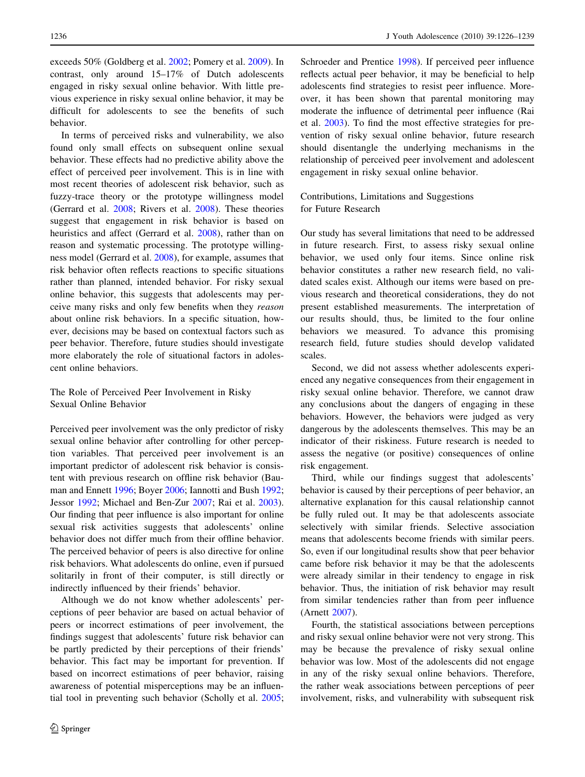exceeds 50% (Goldberg et al. [2002;](#page-11-0) Pomery et al. [2009\)](#page-12-0). In contrast, only around 15–17% of Dutch adolescents engaged in risky sexual online behavior. With little previous experience in risky sexual online behavior, it may be difficult for adolescents to see the benefits of such behavior.

In terms of perceived risks and vulnerability, we also found only small effects on subsequent online sexual behavior. These effects had no predictive ability above the effect of perceived peer involvement. This is in line with most recent theories of adolescent risk behavior, such as fuzzy-trace theory or the prototype willingness model (Gerrard et al. [2008;](#page-11-0) Rivers et al. [2008\)](#page-12-0). These theories suggest that engagement in risk behavior is based on heuristics and affect (Gerrard et al. [2008](#page-11-0)), rather than on reason and systematic processing. The prototype willingness model (Gerrard et al. [2008\)](#page-11-0), for example, assumes that risk behavior often reflects reactions to specific situations rather than planned, intended behavior. For risky sexual online behavior, this suggests that adolescents may perceive many risks and only few benefits when they reason about online risk behaviors. In a specific situation, however, decisions may be based on contextual factors such as peer behavior. Therefore, future studies should investigate more elaborately the role of situational factors in adolescent online behaviors.

The Role of Perceived Peer Involvement in Risky Sexual Online Behavior

Perceived peer involvement was the only predictor of risky sexual online behavior after controlling for other perception variables. That perceived peer involvement is an important predictor of adolescent risk behavior is consistent with previous research on offline risk behavior (Bauman and Ennett [1996](#page-11-0); Boyer [2006;](#page-11-0) Iannotti and Bush [1992](#page-12-0); Jessor [1992;](#page-12-0) Michael and Ben-Zur [2007](#page-12-0); Rai et al. [2003](#page-12-0)). Our finding that peer influence is also important for online sexual risk activities suggests that adolescents' online behavior does not differ much from their offline behavior. The perceived behavior of peers is also directive for online risk behaviors. What adolescents do online, even if pursued solitarily in front of their computer, is still directly or indirectly influenced by their friends' behavior.

Although we do not know whether adolescents' perceptions of peer behavior are based on actual behavior of peers or incorrect estimations of peer involvement, the findings suggest that adolescents' future risk behavior can be partly predicted by their perceptions of their friends' behavior. This fact may be important for prevention. If based on incorrect estimations of peer behavior, raising awareness of potential misperceptions may be an influential tool in preventing such behavior (Scholly et al. [2005](#page-12-0); Schroeder and Prentice [1998\)](#page-12-0). If perceived peer influence reflects actual peer behavior, it may be beneficial to help adolescents find strategies to resist peer influence. Moreover, it has been shown that parental monitoring may moderate the influence of detrimental peer influence (Rai et al. [2003](#page-12-0)). To find the most effective strategies for prevention of risky sexual online behavior, future research should disentangle the underlying mechanisms in the relationship of perceived peer involvement and adolescent engagement in risky sexual online behavior.

Contributions, Limitations and Suggestions for Future Research

Our study has several limitations that need to be addressed in future research. First, to assess risky sexual online behavior, we used only four items. Since online risk behavior constitutes a rather new research field, no validated scales exist. Although our items were based on previous research and theoretical considerations, they do not present established measurements. The interpretation of our results should, thus, be limited to the four online behaviors we measured. To advance this promising research field, future studies should develop validated scales.

Second, we did not assess whether adolescents experienced any negative consequences from their engagement in risky sexual online behavior. Therefore, we cannot draw any conclusions about the dangers of engaging in these behaviors. However, the behaviors were judged as very dangerous by the adolescents themselves. This may be an indicator of their riskiness. Future research is needed to assess the negative (or positive) consequences of online risk engagement.

Third, while our findings suggest that adolescents' behavior is caused by their perceptions of peer behavior, an alternative explanation for this causal relationship cannot be fully ruled out. It may be that adolescents associate selectively with similar friends. Selective association means that adolescents become friends with similar peers. So, even if our longitudinal results show that peer behavior came before risk behavior it may be that the adolescents were already similar in their tendency to engage in risk behavior. Thus, the initiation of risk behavior may result from similar tendencies rather than from peer influence (Arnett [2007](#page-11-0)).

Fourth, the statistical associations between perceptions and risky sexual online behavior were not very strong. This may be because the prevalence of risky sexual online behavior was low. Most of the adolescents did not engage in any of the risky sexual online behaviors. Therefore, the rather weak associations between perceptions of peer involvement, risks, and vulnerability with subsequent risk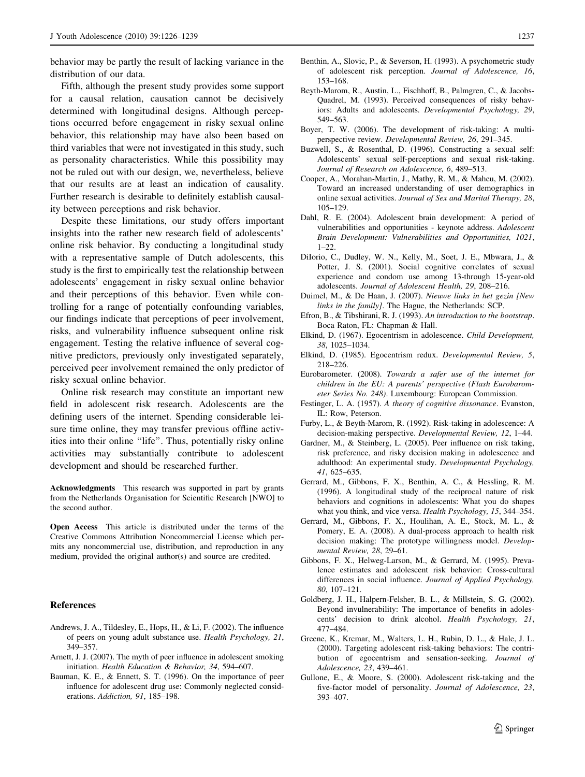<span id="page-11-0"></span>behavior may be partly the result of lacking variance in the distribution of our data.

Fifth, although the present study provides some support for a causal relation, causation cannot be decisively determined with longitudinal designs. Although perceptions occurred before engagement in risky sexual online behavior, this relationship may have also been based on third variables that were not investigated in this study, such as personality characteristics. While this possibility may not be ruled out with our design, we, nevertheless, believe that our results are at least an indication of causality. Further research is desirable to definitely establish causality between perceptions and risk behavior.

Despite these limitations, our study offers important insights into the rather new research field of adolescents' online risk behavior. By conducting a longitudinal study with a representative sample of Dutch adolescents, this study is the first to empirically test the relationship between adolescents' engagement in risky sexual online behavior and their perceptions of this behavior. Even while controlling for a range of potentially confounding variables, our findings indicate that perceptions of peer involvement, risks, and vulnerability influence subsequent online risk engagement. Testing the relative influence of several cognitive predictors, previously only investigated separately, perceived peer involvement remained the only predictor of risky sexual online behavior.

Online risk research may constitute an important new field in adolescent risk research. Adolescents are the defining users of the internet. Spending considerable leisure time online, they may transfer previous offline activities into their online ''life''. Thus, potentially risky online activities may substantially contribute to adolescent development and should be researched further.

Acknowledgments This research was supported in part by grants from the Netherlands Organisation for Scientific Research [NWO] to the second author.

Open Access This article is distributed under the terms of the Creative Commons Attribution Noncommercial License which permits any noncommercial use, distribution, and reproduction in any medium, provided the original author(s) and source are credited.

#### References

- Andrews, J. A., Tildesley, E., Hops, H., & Li, F. (2002). The influence of peers on young adult substance use. Health Psychology, 21, 349–357.
- Arnett, J. J. (2007). The myth of peer influence in adolescent smoking initiation. Health Education & Behavior, 34, 594–607.
- Bauman, K. E., & Ennett, S. T. (1996). On the importance of peer influence for adolescent drug use: Commonly neglected considerations. Addiction, 91, 185–198.
- Benthin, A., Slovic, P., & Severson, H. (1993). A psychometric study of adolescent risk perception. Journal of Adolescence, 16, 153–168.
- Beyth-Marom, R., Austin, L., Fischhoff, B., Palmgren, C., & Jacobs-Quadrel, M. (1993). Perceived consequences of risky behaviors: Adults and adolescents. Developmental Psychology, 29, 549–563.
- Boyer, T. W. (2006). The development of risk-taking: A multiperspective review. Developmental Review, 26, 291–345.
- Buzwell, S., & Rosenthal, D. (1996). Constructing a sexual self: Adolescents' sexual self-perceptions and sexual risk-taking. Journal of Research on Adolescence, 6, 489–513.
- Cooper, A., Morahan-Martin, J., Mathy, R. M., & Maheu, M. (2002). Toward an increased understanding of user demographics in online sexual activities. Journal of Sex and Marital Therapy, 28, 105–129.
- Dahl, R. E. (2004). Adolescent brain development: A period of vulnerabilities and opportunities - keynote address. Adolescent Brain Development: Vulnerabilities and Opportunities, 1021,  $1 - 22$ .
- DiIorio, C., Dudley, W. N., Kelly, M., Soet, J. E., Mbwara, J., & Potter, J. S. (2001). Social cognitive correlates of sexual experience and condom use among 13-through 15-year-old adolescents. Journal of Adolescent Health, 29, 208–216.
- Duimel, M., & De Haan, J. (2007). Nieuwe links in het gezin [New links in the family]. The Hague, the Netherlands: SCP.
- Efron, B., & Tibshirani, R. J. (1993). An introduction to the bootstrap. Boca Raton, FL: Chapman & Hall.
- Elkind, D. (1967). Egocentrism in adolescence. Child Development, 38, 1025–1034.
- Elkind, D. (1985). Egocentrism redux. Developmental Review, 5, 218–226.
- Eurobarometer. (2008). Towards a safer use of the internet for children in the EU: A parents' perspective (Flash Eurobarometer Series No. 248). Luxembourg: European Commission.
- Festinger, L. A. (1957). A theory of cognitive dissonance. Evanston, IL: Row, Peterson.
- Furby, L., & Beyth-Marom, R. (1992). Risk-taking in adolescence: A decision-making perspective. Developmental Review, 12, 1–44.
- Gardner, M., & Steinberg, L. (2005). Peer influence on risk taking, risk preference, and risky decision making in adolescence and adulthood: An experimental study. Developmental Psychology, 41, 625–635.
- Gerrard, M., Gibbons, F. X., Benthin, A. C., & Hessling, R. M. (1996). A longitudinal study of the reciprocal nature of risk behaviors and cognitions in adolescents: What you do shapes what you think, and vice versa. *Health Psychology*, 15, 344–354.
- Gerrard, M., Gibbons, F. X., Houlihan, A. E., Stock, M. L., & Pomery, E. A. (2008). A dual-process approach to health risk decision making: The prototype willingness model. Developmental Review, 28, 29–61.
- Gibbons, F. X., Helweg-Larson, M., & Gerrard, M. (1995). Prevalence estimates and adolescent risk behavior: Cross-cultural differences in social influence. Journal of Applied Psychology, 80, 107–121.
- Goldberg, J. H., Halpern-Felsher, B. L., & Millstein, S. G. (2002). Beyond invulnerability: The importance of benefits in adolescents' decision to drink alcohol. Health Psychology, 21, 477–484.
- Greene, K., Krcmar, M., Walters, L. H., Rubin, D. L., & Hale, J. L. (2000). Targeting adolescent risk-taking behaviors: The contribution of egocentrism and sensation-seeking. Journal of Adolescence, 23, 439–461.
- Gullone, E., & Moore, S. (2000). Adolescent risk-taking and the five-factor model of personality. Journal of Adolescence, 23, 393–407.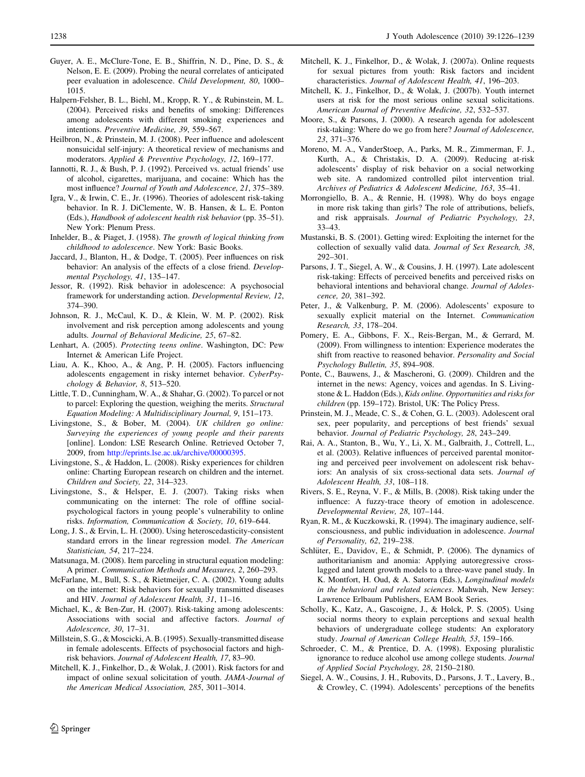- <span id="page-12-0"></span>Guyer, A. E., McClure-Tone, E. B., Shiffrin, N. D., Pine, D. S., & Nelson, E. E. (2009). Probing the neural correlates of anticipated peer evaluation in adolescence. Child Development, 80, 1000– 1015.
- Halpern-Felsher, B. L., Biehl, M., Kropp, R. Y., & Rubinstein, M. L. (2004). Perceived risks and benefits of smoking: Differences among adolescents with different smoking experiences and intentions. Preventive Medicine, 39, 559–567.
- Heilbron, N., & Prinstein, M. J. (2008). Peer influence and adolescent nonsuicidal self-injury: A theoretical review of mechanisms and moderators. Applied & Preventive Psychology, 12, 169–177.
- Iannotti, R. J., & Bush, P. J. (1992). Perceived vs. actual friends' use of alcohol, cigarettes, marijuana, and cocaine: Which has the most influence? Journal of Youth and Adolescence, 21, 375–389.
- Igra, V., & Irwin, C. E., Jr. (1996). Theories of adolescent risk-taking behavior. In R. J. DiClemente, W. B. Hansen, & L. E. Ponton (Eds.), Handbook of adolescent health risk behavior (pp. 35–51). New York: Plenum Press.
- Inhelder, B., & Piaget, J. (1958). The growth of logical thinking from childhood to adolescence. New York: Basic Books.
- Jaccard, J., Blanton, H., & Dodge, T. (2005). Peer influences on risk behavior: An analysis of the effects of a close friend. Developmental Psychology, 41, 135–147.
- Jessor, R. (1992). Risk behavior in adolescence: A psychosocial framework for understanding action. Developmental Review, 12, 374–390.
- Johnson, R. J., McCaul, K. D., & Klein, W. M. P. (2002). Risk involvement and risk perception among adolescents and young adults. Journal of Behavioral Medicine, 25, 67–82.
- Lenhart, A. (2005). Protecting teens online. Washington, DC: Pew Internet & American Life Project.
- Liau, A. K., Khoo, A., & Ang, P. H. (2005). Factors influencing adolescents engagement in risky internet behavior. CyberPsychology & Behavior, 8, 513–520.
- Little, T. D., Cunningham, W. A., & Shahar, G. (2002). To parcel or not to parcel: Exploring the question, weighing the merits. Structural Equation Modeling: A Multidisciplinary Journal, 9, 151–173.
- Livingstone, S., & Bober, M. (2004). UK children go online: Surveying the experiences of young people and their parents [online]. London: LSE Research Online. Retrieved October 7, 2009, from <http://eprints.lse.ac.uk/archive/00000395>.
- Livingstone, S., & Haddon, L. (2008). Risky experiences for children online: Charting European research on children and the internet. Children and Society, 22, 314–323.
- Livingstone, S., & Helsper, E. J. (2007). Taking risks when communicating on the internet: The role of offline socialpsychological factors in young people's vulnerability to online risks. Information, Communication & Society, 10, 619–644.
- Long, J. S., & Ervin, L. H. (2000). Using heteroscedasticity-consistent standard errors in the linear regression model. The American Statistician, 54, 217–224.
- Matsunaga, M. (2008). Item parceling in structural equation modeling: A primer. Communication Methods and Measures, 2, 260–293.
- McFarlane, M., Bull, S. S., & Rietmeijer, C. A. (2002). Young adults on the internet: Risk behaviors for sexually transmitted diseases and HIV. Journal of Adolescent Health, 31, 11–16.
- Michael, K., & Ben-Zur, H. (2007). Risk-taking among adolescents: Associations with social and affective factors. Journal of Adolescence, 30, 17–31.
- Millstein, S. G., & Moscicki, A. B. (1995). Sexually-transmitted disease in female adolescents. Effects of psychosocial factors and highrisk behaviors. Journal of Adolescent Health, 17, 83–90.
- Mitchell, K. J., Finkelhor, D., & Wolak, J. (2001). Risk factors for and impact of online sexual solicitation of youth. JAMA-Journal of the American Medical Association, 285, 3011–3014.
- Mitchell, K. J., Finkelhor, D., & Wolak, J. (2007a). Online requests for sexual pictures from youth: Risk factors and incident characteristics. Journal of Adolescent Health, 41, 196–203.
- Mitchell, K. J., Finkelhor, D., & Wolak, J. (2007b). Youth internet users at risk for the most serious online sexual solicitations. American Journal of Preventive Medicine, 32, 532–537.
- Moore, S., & Parsons, J. (2000). A research agenda for adolescent risk-taking: Where do we go from here? Journal of Adolescence, 23, 371–376.
- Moreno, M. A., VanderStoep, A., Parks, M. R., Zimmerman, F. J., Kurth, A., & Christakis, D. A. (2009). Reducing at-risk adolescents' display of risk behavior on a social networking web site. A randomized controlled pilot intervention trial. Archives of Pediatrics & Adolescent Medicine, 163, 35–41.
- Morrongiello, B. A., & Rennie, H. (1998). Why do boys engage in more risk taking than girls? The role of attributions, beliefs, and risk appraisals. Journal of Pediatric Psychology, 23, 33–43.
- Mustanski, B. S. (2001). Getting wired: Exploiting the internet for the collection of sexually valid data. Journal of Sex Research, 38, 292–301.
- Parsons, J. T., Siegel, A. W., & Cousins, J. H. (1997). Late adolescent risk-taking: Effects of perceived benefits and perceived risks on behavioral intentions and behavioral change. Journal of Adolescence, 20, 381–392.
- Peter, J., & Valkenburg, P. M. (2006). Adolescents' exposure to sexually explicit material on the Internet. Communication Research, 33, 178–204.
- Pomery, E. A., Gibbons, F. X., Reis-Bergan, M., & Gerrard, M. (2009). From willingness to intention: Experience moderates the shift from reactive to reasoned behavior. Personality and Social Psychology Bulletin, 35, 894–908.
- Ponte, C., Bauwens, J., & Mascheroni, G. (2009). Children and the internet in the news: Agency, voices and agendas. In S. Livingstone & L. Haddon (Eds.), Kids online. Opportunities and risks for children (pp. 159–172). Bristol, UK: The Policy Press.
- Prinstein, M. J., Meade, C. S., & Cohen, G. L. (2003). Adolescent oral sex, peer popularity, and perceptions of best friends' sexual behavior. Journal of Pediatric Psychology, 28, 243–249.
- Rai, A. A., Stanton, B., Wu, Y., Li, X. M., Galbraith, J., Cottrell, L., et al. (2003). Relative influences of perceived parental monitoring and perceived peer involvement on adolescent risk behaviors: An analysis of six cross-sectional data sets. Journal of Adolescent Health, 33, 108–118.
- Rivers, S. E., Reyna, V. F., & Mills, B. (2008). Risk taking under the influence: A fuzzy-trace theory of emotion in adolescence. Developmental Review, 28, 107–144.
- Ryan, R. M., & Kuczkowski, R. (1994). The imaginary audience, selfconsciousness, and public individuation in adolescence. Journal of Personality, 62, 219–238.
- Schlüter, E., Davidov, E., & Schmidt, P. (2006). The dynamics of authoritarianism and anomia: Applying autoregressive crosslagged and latent growth models to a three-wave panel study. In K. Montfort, H. Oud, & A. Satorra (Eds.), Longitudinal models in the behavioral and related sciences. Mahwah, New Jersey: Lawrence Erlbaum Publishers, EAM Book Series.
- Scholly, K., Katz, A., Gascoigne, J., & Holck, P. S. (2005). Using social norms theory to explain perceptions and sexual health behaviors of undergraduate college students: An exploratory study. Journal of American College Health, 53, 159–166.
- Schroeder, C. M., & Prentice, D. A. (1998). Exposing pluralistic ignorance to reduce alcohol use among college students. Journal of Applied Social Psychology, 28, 2150–2180.
- Siegel, A. W., Cousins, J. H., Rubovits, D., Parsons, J. T., Lavery, B., & Crowley, C. (1994). Adolescents' perceptions of the benefits